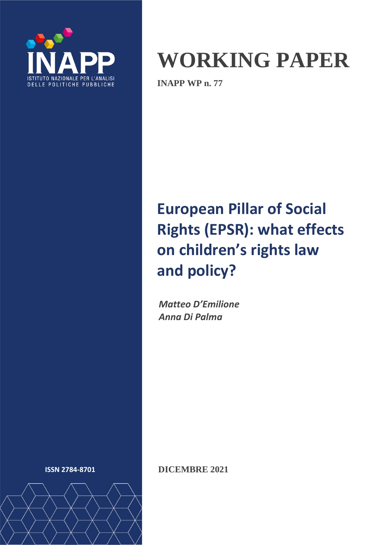

# **WORKING PAPER**

**INAPP WP n. 77**

## **European Pillar of Social Rights (EPSR): what effects on children's rights law and policy?**

*Matteo D'Emilione Anna Di Palma*



**ISSN 2784-8701 DICEMBRE 2021**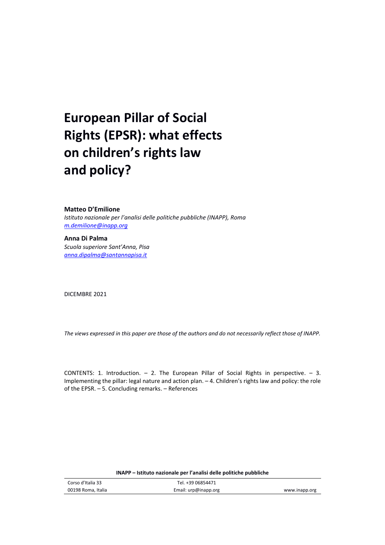## **European Pillar of Social Rights (EPSR): what effects on children's rights law and policy?**

#### **Matteo D'Emilione**

*Istituto nazionale per l'analisi delle politiche pubbliche (INAPP), Roma [m.demilione@inapp.org](mailto:m.demilione@inapp.org)*

**Anna Di Palma** *Scuola superiore Sant'Anna, Pisa [anna.dipalma@santannapisa.it](mailto:anna.dipalma@santannapisa.it)*

DICEMBRE 2021

*The views expressed in this paper are those of the authors and do not necessarily reflect those of INAPP.* 

CONTENTS: 1. Introduction.  $-$  2. The European Pillar of Social Rights in perspective.  $-$  3. Implementing the pillar: legal nature and action plan. – 4. Children's rights law and policy: the role of the EPSR. – 5. Concluding remarks. – References

| Corso d'Italia 33  | Tel. +39 06854471    |               |
|--------------------|----------------------|---------------|
| 00198 Roma, Italia | Email: urp@inapp.org | www.inapp.org |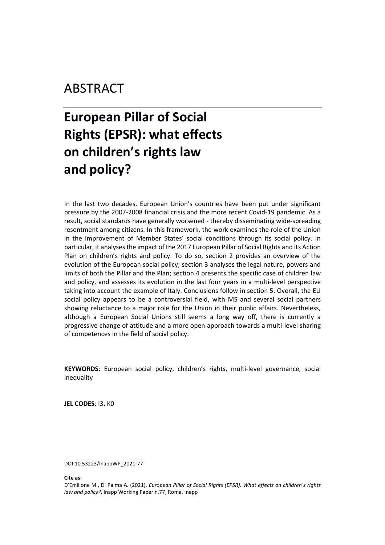### ABSTRACT

## **European Pillar of Social Rights (EPSR): what effects on children's rights law and policy?**

In the last two decades, European Union's countries have been put under significant pressure by the 2007-2008 financial crisis and the more recent Covid-19 pandemic. As a result, social standards have generally worsened - thereby disseminating wide-spreading resentment among citizens. In this framework, the work examines the role of the Union in the improvement of Member States' social conditions through its social policy. In particular, it analyses the impact of the 2017 European Pillar of Social Rights and its Action Plan on children's rights and policy. To do so, section 2 provides an overview of the evolution of the European social policy; section 3 analyses the legal nature, powers and limits of both the Pillar and the Plan; section 4 presents the specific case of children law and policy, and assesses its evolution in the last four years in a multi-level perspective taking into account the example of Italy. Conclusions follow in section 5. Overall, the EU social policy appears to be a controversial field, with MS and several social partners showing reluctance to a major role for the Union in their public affairs. Nevertheless, although a European Social Unions still seems a long way off, there is currently a progressive change of attitude and a more open approach towards a multi-level sharing of competences in the field of social policy.

**KEYWORDS**: European social policy, children's rights, multi-level governance, social inequality

**JEL CODES**: I3, K0

DOI:10.53223/InappWP\_2021-77

**Cite as:** 

D'Emilione M., Di Palma A. (2021), *European Pillar of Social Rights (EPSR). What effects on children's rights law and policy?*, Inapp Working Paper n.77, Roma, Inapp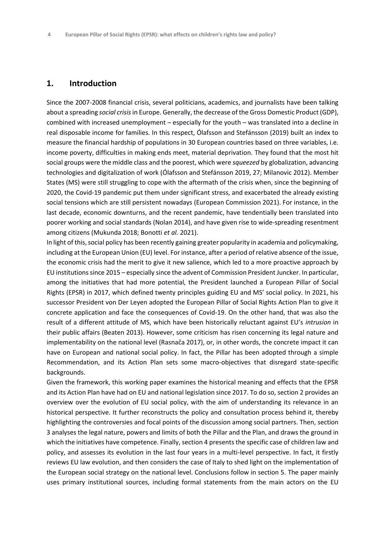#### **1. Introduction**

Since the 2007-2008 financial crisis, several politicians, academics, and journalists have been talking about a spreading *social crisis* in Europe. Generally, the decrease of the Gross Domestic Product (GDP), combined with increased unemployment – especially for the youth – was translated into a decline in real disposable income for families. In this respect, Ólafsson and Stefánsson (2019) built an index to measure the financial hardship of populations in 30 European countries based on three variables, i.e. income poverty, difficulties in making ends meet, material deprivation*.* They found that the most hit social groups were the middle class and the poorest, which were *squeezed* by globalization, advancing technologies and digitalization of work (Ólafsson and Stefánsson 2019, 27; Milanovic 2012). Member States (MS) were still struggling to cope with the aftermath of the crisis when, since the beginning of 2020, the Covid-19 pandemic put them under significant stress, and exacerbated the already existing social tensions which are still persistent nowadays (European Commission 2021). For instance, in the last decade, economic downturns, and the recent pandemic, have tendentially been translated into poorer working and social standards (Nolan 2014), and have given rise to wide-spreading resentment among citizens (Mukunda 2018; Bonotti *et al.* 2021).

In light of this, social policy has been recently gaining greater popularity in academia and policymaking, including at the European Union (EU) level. For instance, after a period of relative absence of the issue, the economic crisis had the merit to give it new salience, which led to a more proactive approach by EU institutions since 2015 – especially since the advent of Commission President Juncker. In particular, among the initiatives that had more potential, the President launched a European Pillar of Social Rights (EPSR) in 2017, which defined twenty principles guiding EU and MS' social policy. In 2021, his successor President von Der Leyen adopted the European Pillar of Social Rights Action Plan to give it concrete application and face the consequences of Covid-19. On the other hand, that was also the result of a different attitude of MS, which have been historically reluctant against EU's *intrusion* in their public affairs (Beaten 2013). However, some criticism has risen concerning its legal nature and implementability on the national level (Rasnača 2017), or, in other words, the concrete impact it can have on European and national social policy. In fact, the Pillar has been adopted through a simple Recommendation, and its Action Plan sets some macro-objectives that disregard state-specific backgrounds.

Given the framework, this working paper examines the historical meaning and effects that the EPSR and its Action Plan have had on EU and national legislation since 2017. To do so, section 2 provides an overview over the evolution of EU social policy, with the aim of understanding its relevance in an historical perspective. It further reconstructs the policy and consultation process behind it, thereby highlighting the controversies and focal points of the discussion among social partners. Then, section 3 analyses the legal nature, powers and limits of both the Pillar and the Plan, and draws the ground in which the initiatives have competence. Finally, section 4 presents the specific case of children law and policy, and assesses its evolution in the last four years in a multi-level perspective. In fact, it firstly reviews EU law evolution, and then considers the case of Italy to shed light on the implementation of the European social strategy on the national level. Conclusions follow in section 5. The paper mainly uses primary institutional sources, including formal statements from the main actors on the EU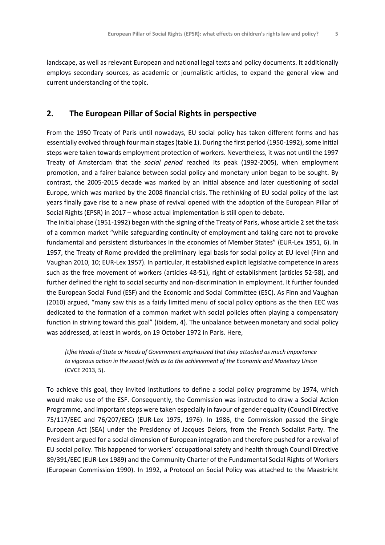landscape, as well as relevant European and national legal texts and policy documents. It additionally employs secondary sources, as academic or journalistic articles, to expand the general view and current understanding of the topic.

#### **2. The European Pillar of Social Rights in perspective**

From the 1950 Treaty of Paris until nowadays, EU social policy has taken different forms and has essentially evolved through four main stages(table 1). During the first period (1950-1992), some initial steps were taken towards employment protection of workers. Nevertheless, it was not until the 1997 Treaty of Amsterdam that the *social period* reached its peak (1992-2005), when employment promotion, and a fairer balance between social policy and monetary union began to be sought. By contrast, the 2005-2015 decade was marked by an initial absence and later questioning of social Europe, which was marked by the 2008 financial crisis. The rethinking of EU social policy of the last years finally gave rise to a new phase of revival opened with the adoption of the European Pillar of Social Rights (EPSR) in 2017 – whose actual implementation is still open to debate.

The initial phase (1951-1992) began with the signing of the Treaty of Paris, whose article 2 set the task of a common market "while safeguarding continuity of employment and taking care not to provoke fundamental and persistent disturbances in the economies of Member States" (EUR-Lex 1951, 6). In 1957, the Treaty of Rome provided the preliminary legal basis for social policy at EU level (Finn and Vaughan 2010, 10; EUR-Lex 1957). In particular, it established explicit legislative competence in areas such as the free movement of workers (articles 48-51), right of establishment (articles 52-58), and further defined the right to social security and non-discrimination in employment. It further founded the European Social Fund (ESF) and the Economic and Social Committee (ESC). As Finn and Vaughan (2010) argued, "many saw this as a fairly limited menu of social policy options as the then EEC was dedicated to the formation of a common market with social policies often playing a compensatory function in striving toward this goal" (ibidem, 4). The unbalance between monetary and social policy was addressed, at least in words, on 19 October 1972 in Paris. Here,

*[t]he Heads of State or Heads of Government emphasized that they attached as much importance to vigorous action in the social fields as to the achievement of the Economic and Monetary Union* (CVCE 2013, 5).

To achieve this goal, they invited institutions to define a social policy programme by 1974, which would make use of the ESF. Consequently, the Commission was instructed to draw a Social Action Programme, and important steps were taken especially in favour of gender equality (Council Directive 75/117/EEC and 76/207/EEC) (EUR-Lex 1975, 1976). In 1986, the Commission passed the Single European Act (SEA) under the Presidency of Jacques Delors, from the French Socialist Party. The President argued for a social dimension of European integration and therefore pushed for a revival of EU social policy. This happened for workers' occupational safety and health through Council Directive 89/391/EEC (EUR-Lex 1989) and the Community Charter of the Fundamental Social Rights of Workers (European Commission 1990). In 1992, a Protocol on Social Policy was attached to the Maastricht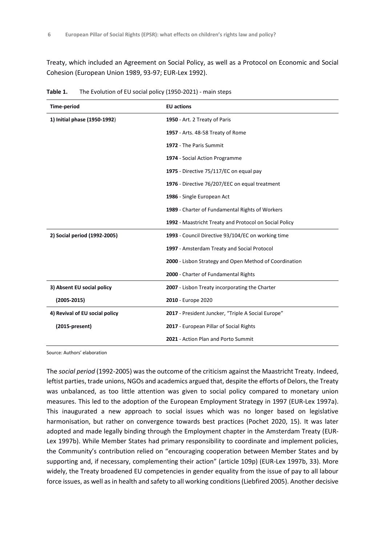Treaty, which included an Agreement on Social Policy, as well as a Protocol on Economic and Social Cohesion (European Union 1989, 93-97; EUR-Lex 1992).

| Time-period                    | <b>EU</b> actions                                      |  |
|--------------------------------|--------------------------------------------------------|--|
| 1) Initial phase (1950-1992)   | 1950 - Art. 2 Treaty of Paris                          |  |
|                                | 1957 - Arts. 48-58 Treaty of Rome                      |  |
|                                | 1972 - The Paris Summit                                |  |
|                                | 1974 - Social Action Programme                         |  |
|                                | 1975 - Directive 75/117/EC on equal pay                |  |
|                                | 1976 - Directive 76/207/EEC on equal treatment         |  |
|                                | 1986 - Single European Act                             |  |
|                                | 1989 - Charter of Fundamental Rights of Workers        |  |
|                                | 1992 - Maastricht Treaty and Protocol on Social Policy |  |
| 2) Social period (1992-2005)   | 1993 - Council Directive 93/104/EC on working time     |  |
|                                | 1997 - Amsterdam Treaty and Social Protocol            |  |
|                                | 2000 - Lisbon Strategy and Open Method of Coordination |  |
|                                | 2000 - Charter of Fundamental Rights                   |  |
| 3) Absent EU social policy     | 2007 - Lisbon Treaty incorporating the Charter         |  |
| $(2005 - 2015)$                | 2010 - Europe 2020                                     |  |
| 4) Revival of EU social policy | 2017 - President Juncker, "Triple A Social Europe"     |  |
| $(2015-present)$               | 2017 - European Pillar of Social Rights                |  |
|                                | 2021 - Action Plan and Porto Summit                    |  |

**Table 1.** The Evolution of EU social policy (1950-2021) - main steps

Source: Authors' elaboration

The *social period* (1992-2005) was the outcome of the criticism against the Maastricht Treaty. Indeed, leftist parties, trade unions, NGOs and academics argued that, despite the efforts of Delors, the Treaty was unbalanced, as too little attention was given to social policy compared to monetary union measures. This led to the adoption of the European Employment Strategy in 1997 (EUR-Lex 1997a). This inaugurated a new approach to social issues which was no longer based on legislative harmonisation, but rather on convergence towards best practices (Pochet 2020, 15). It was later adopted and made legally binding through the Employment chapter in the Amsterdam Treaty (EUR-Lex 1997b). While Member States had primary responsibility to coordinate and implement policies, the Community's contribution relied on "encouraging cooperation between Member States and by supporting and, if necessary, complementing their action" (article 109p) (EUR-Lex 1997b, 33). More widely, the Treaty broadened EU competencies in gender equality from the issue of pay to all labour force issues, as well as in health and safety to all working conditions (Liebfired 2005). Another decisive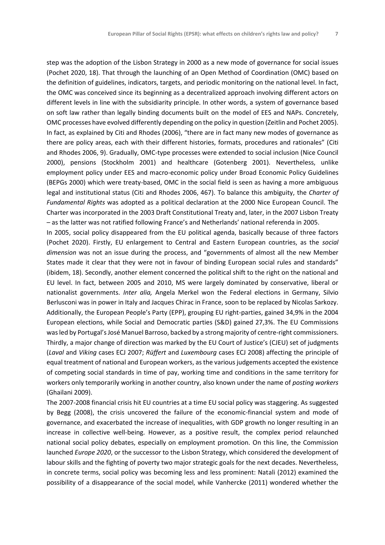step was the adoption of the Lisbon Strategy in 2000 as a new mode of governance for social issues (Pochet 2020, 18). That through the launching of an Open Method of Coordination (OMC) based on the definition of guidelines, indicators, targets, and periodic monitoring on the national level. In fact, the OMC was conceived since its beginning as a decentralized approach involving different actors on different levels in line with the subsidiarity principle. In other words, a system of governance based on soft law rather than legally binding documents built on the model of EES and NAPs. Concretely, OMC processes have evolved differently depending on the policy in question (Zeitlin and Pochet 2005). In fact, as explained by Citi and Rhodes (2006), "there are in fact many new modes of governance as there are policy areas, each with their different histories, formats, procedures and rationales" (Citi and Rhodes 2006, 9). Gradually, OMC-type processes were extended to social inclusion (Nice Council 2000), pensions (Stockholm 2001) and healthcare (Gotenberg 2001). Nevertheless, unlike employment policy under EES and macro-economic policy under Broad Economic Policy Guidelines (BEPGs 2000) which were treaty-based, OMC in the social field is seen as having a more ambiguous legal and institutional status (Citi and Rhodes 2006, 467). To balance this ambiguity, the *Charter of Fundamental Rights* was adopted as a political declaration at the 2000 Nice European Council. The Charter was incorporated in the 2003 Draft Constitutional Treaty and, later, in the 2007 Lisbon Treaty *–* as the latter was not ratified following France's and Netherlands' national referenda in 2005.

In 2005, social policy disappeared from the EU political agenda, basically because of three factors (Pochet 2020). Firstly, EU enlargement to Central and Eastern European countries, as the *social dimension* was not an issue during the process, and "governments of almost all the new Member States made it clear that they were not in favour of binding European social rules and standards" (ibidem, 18). Secondly, another element concerned the political shift to the right on the national and EU level. In fact, between 2005 and 2010, MS were largely dominated by conservative, liberal or nationalist governments. *Inter alia,* Angela Merkel won the Federal elections in Germany, Silvio Berlusconi was in power in Italy and Jacques Chirac in France, soon to be replaced by Nicolas Sarkozy. Additionally, the European People's Party (EPP), grouping EU right-parties, gained 34,9% in the 2004 European elections, while Social and Democratic parties (S&D) gained 27,3%. The EU Commissions was led by Portugal's José Manuel Barroso, backed by a strong majority of centre-right commissioners. Thirdly, a major change of direction was marked by the EU Court of Justice's (CJEU) set of judgments (*Laval* and *Viking* cases ECJ 2007; *Rüffert* and *Luxembourg* cases ECJ 2008) affecting the principle of equal treatment of national and European workers, as the various judgements accepted the existence of competing social standards in time of pay, working time and conditions in the same territory for workers only temporarily working in another country, also known under the name of *posting workers* (Ghailani 2009).

The 2007-2008 financial crisis hit EU countries at a time EU social policy was staggering. As suggested by Begg (2008), the crisis uncovered the failure of the economic-financial system and mode of governance, and exacerbated the increase of inequalities, with GDP growth no longer resulting in an increase in collective well-being. However, as a positive result, the complex period relaunched national social policy debates, especially on employment promotion. On this line, the Commission launched *Europe 2020*, or the successor to the Lisbon Strategy, which considered the development of labour skills and the fighting of poverty two major strategic goals for the next decades. Nevertheless, in concrete terms, social policy was becoming less and less prominent: Natali (2012) examined the possibility of a disappearance of the social model, while Vanhercke (2011) wondered whether the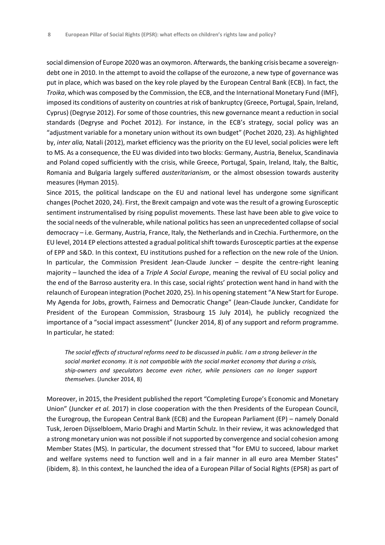social dimension of Europe 2020 was an oxymoron. Afterwards, the banking crisis became a sovereigndebt one in 2010. In the attempt to avoid the collapse of the eurozone, a new type of governance was put in place, which was based on the key role played by the European Central Bank (ECB). In fact, the *Troika*, which was composed by the Commission, the ECB, and the International Monetary Fund (IMF), imposed its conditions of austerity on countries at risk of bankruptcy (Greece, Portugal, Spain, Ireland, Cyprus) (Degryse 2012). For some of those countries, this new governance meant a reduction in social standards (Degryse and Pochet 2012). For instance, in the ECB's strategy, social policy was an "adjustment variable for a monetary union without its own budget" (Pochet 2020, 23). As highlighted by, *inter alia,* Natali (2012), market efficiency was the priority on the EU level, social policies were left to MS. As a consequence, the EU was divided into two blocks: Germany, Austria, Benelux, Scandinavia and Poland coped sufficiently with the crisis, while Greece, Portugal, Spain, Ireland, Italy, the Baltic, Romania and Bulgaria largely suffered *austeritarianism*, or the almost obsession towards austerity measures (Hyman 2015).

Since 2015, the political landscape on the EU and national level has undergone some significant changes (Pochet 2020, 24). First, the Brexit campaign and vote was the result of a growing Eurosceptic sentiment instrumentalised by rising populist movements. These last have been able to give voice to the social needs of the vulnerable, while national politics has seen an unprecedented collapse of social democracy – i.e. Germany, Austria, France, Italy, the Netherlands and in Czechia. Furthermore, on the EU level, 2014 EP elections attested a gradual political shift towards Eurosceptic parties at the expense of EPP and S&D. In this context, EU institutions pushed for a reflection on the new role of the Union. In particular, the Commission President Jean-Claude Juncker – despite the centre-right leaning majority – launched the idea of a *Triple A Social Europe*, meaning the revival of EU social policy and the end of the Barroso austerity era. In this case, social rights' protection went hand in hand with the relaunch of European integration (Pochet 2020, 25). In his opening statement "A New Start for Europe. My Agenda for Jobs, growth, Fairness and Democratic Change" (Jean-Claude Juncker, Candidate for President of the European Commission, Strasbourg 15 July 2014), he publicly recognized the importance of a "social impact assessment" (Juncker 2014, 8) of any support and reform programme. In particular, he stated:

*The social effects of structural reforms need to be discussed in public. I am a strong believer in the social market economy. It is not compatible with the social market economy that during a crisis, ship-owners and speculators become even richer, while pensioners can no longer support themselves*. (Juncker 2014, 8)

Moreover, in 2015, the President published the report "Completing Europe's Economic and Monetary Union" (Juncker *et al.* 2017) in close cooperation with the then Presidents of the European Council, the Eurogroup, the European Central Bank (ECB) and the European Parliament (EP) – namely Donald Tusk, Jeroen Dijsselbloem, Mario Draghi and Martin Schulz. In their review, it was acknowledged that a strong monetary union was not possible if not supported by convergence and social cohesion among Member States (MS). In particular, the document stressed that "for EMU to succeed, labour market and welfare systems need to function well and in a fair manner in all euro area Member States" (ibidem, 8). In this context, he launched the idea of a European Pillar of Social Rights (EPSR) as part of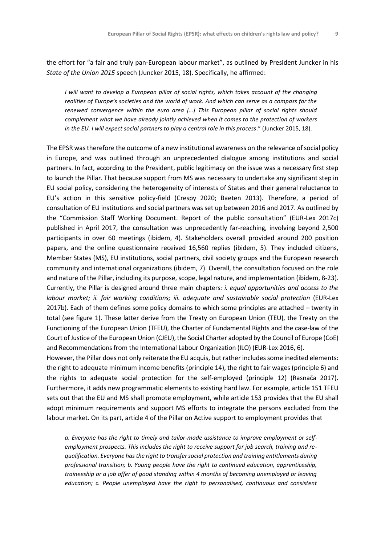the effort for "a fair and truly pan-European labour market", as outlined by President Juncker in his *State of the Union 2015* speech (Juncker 2015, 18). Specifically, he affirmed:

*I will want to develop a European pillar of social rights, which takes account of the changing realities of Europe's societies and the world of work. And which can serve as a compass for the renewed convergence within the euro area […] This European pillar of social rights should complement what we have already jointly achieved when it comes to the protection of workers in the EU. I will expect social partners to play a central role in this process*." (Juncker 2015, 18).

The EPSR was therefore the outcome of a new institutional awareness on the relevance of social policy in Europe, and was outlined through an unprecedented dialogue among institutions and social partners. In fact, according to the President, public legitimacy on the issue was a necessary first step to launch the Pillar. That because support from MS was necessary to undertake any significant step in EU social policy, considering the heterogeneity of interests of States and their general reluctance to EU's action in this sensitive policy-field (Crespy 2020; Baeten 2013). Therefore, a period of consultation of EU institutions and social partners was set up between 2016 and 2017. As outlined by the "Commission Staff Working Document. Report of the public consultation" (EUR-Lex 2017c) published in April 2017, the consultation was unprecedently far-reaching, involving beyond 2,500 participants in over 60 meetings (ibidem, 4). Stakeholders overall provided around 200 position papers, and the online questionnaire received 16,560 replies (ibidem, 5). They included citizens, Member States (MS), EU institutions, social partners, civil society groups and the European research community and international organizations (ibidem, 7). Overall, the consultation focused on the role and nature of the Pillar, including its purpose, scope, legal nature, and implementation (ibidem, 8-23). Currently, the Pillar is designed around three main chapters*: i. equal opportunities and access to the labour market; ii. fair working conditions; iii. adequate and sustainable social protection* (EUR-Lex 2017b). Each of them defines some policy domains to which some principles are attached – twenty in total (see figure 1). These latter derive from the Treaty on European Union (TEU), the Treaty on the Functioning of the European Union (TFEU), the Charter of Fundamental Rights and the case-law of the Court of Justice of the European Union (CJEU), the Social Charter adopted by the Council of Europe (CoE) and Recommendations from the International Labour Organization (ILO) (EUR-Lex 2016, 6).

However, the Pillar does not only reiterate the EU acquis, but rather includes some inedited elements: the right to adequate minimum income benefits (principle 14), the right to fair wages (principle 6) and the rights to adequate social protection for the self-employed (principle 12) (Rasnača 2017). Furthermore, it adds new programmatic elements to existing hard law. For example, article 151 TFEU sets out that the EU and MS shall promote employment, while article 153 provides that the EU shall adopt minimum requirements and support MS efforts to integrate the persons excluded from the labour market. On its part, article 4 of the Pillar on Active support to employment provides that

*a. Everyone has the right to timely and tailor-made assistance to improve employment or selfemployment prospects. This includes the right to receive support for job search, training and requalification. Everyone has the right to transfer social protection and training entitlements during professional transition; b. Young people have the right to continued education, apprenticeship, traineeship or a job offer of good standing within 4 months of becoming unemployed or leaving education; c. People unemployed have the right to personalised, continuous and consistent*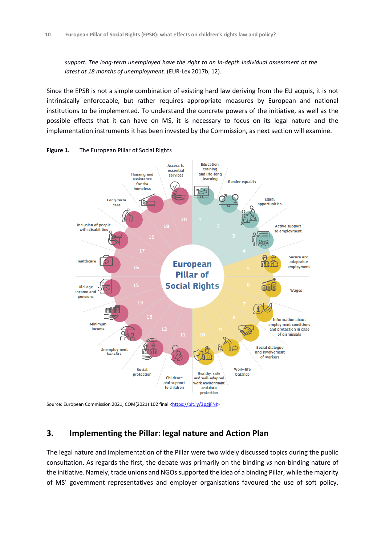*support. The long-term unemployed have the right to an in-depth individual assessment at the latest at 18 months of unemployment*. (EUR-Lex 2017b, 12).

Since the EPSR is not a simple combination of existing hard law deriving from the EU acquis, it is not intrinsically enforceable, but rather requires appropriate measures by European and national institutions to be implemented. To understand the concrete powers of the initiative, as well as the possible effects that it can have on MS, it is necessary to focus on its legal nature and the implementation instruments it has been invested by the Commission, as next section will examine.





Source: European Commission 2021, COM(2021) 102 final [<https://bit.ly/3pgjFNI>](https://bit.ly/3pgjFNI)

#### **3. Implementing the Pillar: legal nature and Action Plan**

The legal nature and implementation of the Pillar were two widely discussed topics during the public consultation. As regards the first, the debate was primarily on the binding *vs* non-binding nature of the initiative. Namely, trade unions and NGOs supported the idea of a binding Pillar, while the majority of MS' government representatives and employer organisations favoured the use of soft policy.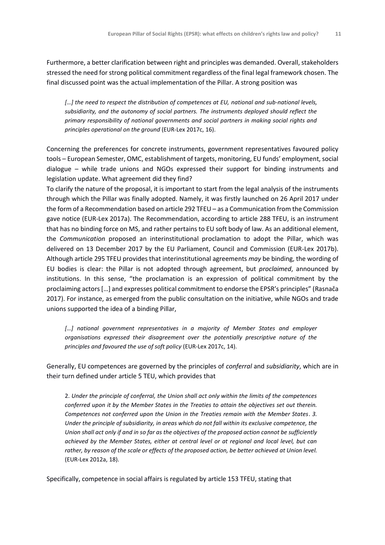Furthermore, a better clarification between right and principles was demanded. Overall, stakeholders stressed the need for strong political commitment regardless of the final legal framework chosen. The final discussed point was the actual implementation of the Pillar. A strong position was

*[…] the need to respect the distribution of competences at EU, national and sub-national levels, subsidiarity, and the autonomy of social partners. The instruments deployed should reflect the primary responsibility of national governments and social partners in making social rights and principles operational on the ground* (EUR-Lex 2017c, 16).

Concerning the preferences for concrete instruments, government representatives favoured policy tools – European Semester, OMC, establishment of targets, monitoring, EU funds' employment, social dialogue – while trade unions and NGOs expressed their support for binding instruments and legislation update. What agreement did they find?

To clarify the nature of the proposal, it is important to start from the legal analysis of the instruments through which the Pillar was finally adopted. Namely, it was firstly launched on 26 April 2017 under the form of a Recommendation based on article 292 TFEU – as a Communication from the Commission gave notice (EUR-Lex 2017a). The Recommendation, according to article 288 TFEU, is an instrument that has no binding force on MS, and rather pertains to EU soft body of law. As an additional element, the *Communication* proposed an interinstitutional proclamation to adopt the Pillar, which was delivered on 13 December 2017 by the EU Parliament, Council and Commission (EUR-Lex 2017b). Although article 295 TFEU provides that interinstitutional agreements *may* be binding, the wording of EU bodies is clear: the Pillar is not adopted through agreement, but *proclaimed*, announced by institutions. In this sense, "the proclamation is an expression of political commitment by the proclaiming actors […] and expresses political commitment to endorse the EPSR's principles" (Rasnača 2017). For instance, as emerged from the public consultation on the initiative, while NGOs and trade unions supported the idea of a binding Pillar,

*[…] national government representatives in a majority of Member States and employer organisations expressed their disagreement over the potentially prescriptive nature of the principles and favoured the use of soft policy* (EUR-Lex 2017c, 14).

Generally, EU competences are governed by the principles of *conferral* and *subsidiarity*, which are in their turn defined under article 5 TEU, which provides that

2. *Under the principle of conferral, the Union shall act only within the limits of the competences conferred upon it by the Member States in the Treaties to attain the objectives set out therein. Competences not conferred upon the Union in the Treaties remain with the Member States*. *3. Under the principle of subsidiarity, in areas which do not fall within its exclusive competence, the Union shall act only if and in so far as the objectives of the proposed action cannot be sufficiently achieved by the Member States, either at central level or at regional and local level, but can rather, by reason of the scale or effects of the proposed action, be better achieved at Union level.* (EUR-Lex 2012a, 18).

Specifically, competence in social affairs is regulated by article 153 TFEU, stating that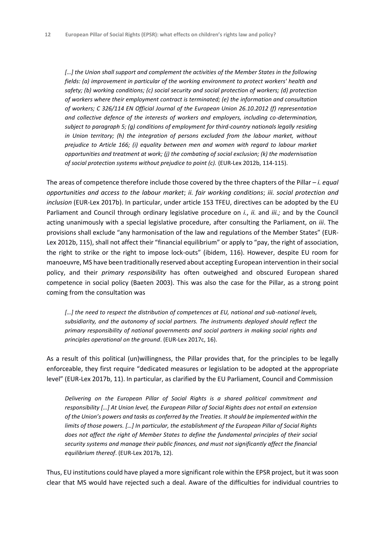*[…] the Union shall support and complement the activities of the Member States in the following fields: (a) improvement in particular of the working environment to protect workers' health and safety; (b) working conditions; (c) social security and social protection of workers; (d) protection of workers where their employment contract is terminated; (e) the information and consultation of workers; C 326/114 EN Official Journal of the European Union 26.10.2012 (f) representation and collective defence of the interests of workers and employers, including co-determination, subject to paragraph 5; (g) conditions of employment for third-country nationals legally residing in Union territory; (h) the integration of persons excluded from the labour market, without prejudice to Article 166; (i) equality between men and women with regard to labour market opportunities and treatment at work; (j) the combating of social exclusion; (k) the modernisation of social protection systems without prejudice to point (c).* (EUR-Lex 2012b, 114-115).

The areas of competence therefore include those covered by the three chapters of the Pillar – *i. equal opportunities and access to the labour market*; *ii. fair working conditions*; *iii. social protection and inclusion* (EUR-Lex 2017b). In particular, under article 153 TFEU, directives can be adopted by the EU Parliament and Council through ordinary legislative procedure on *i.*, *ii.* and *iii.;* and by the Council acting unanimously with a special legislative procedure, after consulting the Parliament, on *iii*. The provisions shall exclude "any harmonisation of the law and regulations of the Member States" (EUR-Lex 2012b, 115), shall not affect their "financial equilibrium" or apply to "pay, the right of association, the right to strike or the right to impose lock-outs" (ibidem, 116). However, despite EU room for manoeuvre, MS have been traditionally reserved about accepting European intervention in their social policy, and their *primary responsibility* has often outweighed and obscured European shared competence in social policy (Baeten 2003). This was also the case for the Pillar, as a strong point coming from the consultation was

*[…] the need to respect the distribution of competences at EU, national and sub-national levels, subsidiarity, and the autonomy of social partners. The instruments deployed should reflect the primary responsibility of national governments and social partners in making social rights and principles operational on the ground*. (EUR-Lex 2017c, 16).

As a result of this political (un)willingness, the Pillar provides that, for the principles to be legally enforceable, they first require "dedicated measures or legislation to be adopted at the appropriate level" (EUR-Lex 2017b, 11). In particular, as clarified by the EU Parliament, Council and Commission

*Delivering on the European Pillar of Social Rights is a shared political commitment and responsibility […] At Union level, the European Pillar of Social Rights does not entail an extension of the Union's powers and tasks as conferred by the Treaties. It should be implemented within the limits of those powers. […] In particular, the establishment of the European Pillar of Social Rights does not affect the right of Member States to define the fundamental principles of their social security systems and manage their public finances, and must not significantly affect the financial equilibrium thereof*. (EUR-Lex 2017b, 12).

Thus, EU institutions could have played a more significant role within the EPSR project, but it was soon clear that MS would have rejected such a deal. Aware of the difficulties for individual countries to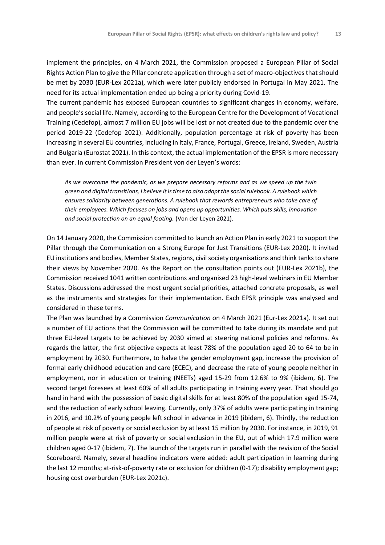implement the principles, on 4 March 2021, the Commission proposed a European Pillar of Social Rights Action Plan to give the Pillar concrete application through a set of macro-objectives that should be met by 2030 (EUR-Lex 2021a), which were later publicly endorsed in Portugal in May 2021. The need for its actual implementation ended up being a priority during Covid-19.

The current pandemic has exposed European countries to significant changes in economy, welfare, and people's social life. Namely, according to the European Centre for the Development of Vocational Training (Cedefop), almost 7 million EU jobs will be lost or not created due to the pandemic over the period 2019-22 (Cedefop 2021). Additionally, population percentage at risk of poverty has been increasing in several EU countries, including in Italy, France, Portugal, Greece, Ireland, Sweden, Austria and Bulgaria (Eurostat 2021). In this context, the actual implementation of the EPSR is more necessary than ever. In current Commission President von der Leyen's words:

*As we overcome the pandemic, as we prepare necessary reforms and as we speed up the twin green and digital transitions, I believe it is time to also adapt the social rulebook. A rulebook which ensures solidarity between generations. A rulebook that rewards entrepreneurs who take care of their employees. Which focuses on jobs and opens up opportunities. Which puts skills, innovation and social protection on an equal footing.* (Von der Leyen 2021).

On 14 January 2020, the Commission committed to launch an Action Plan in early 2021 to support the Pillar through the Communication on a Strong Europe for Just Transitions (EUR-Lex 2020). It invited EU institutions and bodies, Member States, regions, civil society organisations and think tanks to share their views by November 2020. As the Report on the consultation points out (EUR-Lex 2021b), the Commission received 1041 written contributions and organised 23 high-level webinars in EU Member States. Discussions addressed the most urgent social priorities, attached concrete proposals, as well as the instruments and strategies for their implementation. Each EPSR principle was analysed and considered in these terms.

The Plan was launched by a Commission *Communication* on 4 March 2021 (Eur-Lex 2021a). It set out a number of EU actions that the Commission will be committed to take during its mandate and put three EU-level targets to be achieved by 2030 aimed at steering national policies and reforms. As regards the latter, the first objective expects at least 78% of the population aged 20 to 64 to be in employment by 2030. Furthermore, to halve the gender employment gap, increase the provision of formal early childhood education and care (ECEC), and decrease the rate of young people neither in employment, nor in education or training (NEETs) aged 15-29 from 12.6% to 9% (ibidem, 6). The second target foresees at least 60% of all adults participating in training every year. That should go hand in hand with the possession of basic digital skills for at least 80% of the population aged 15-74, and the reduction of early school leaving. Currently, only 37% of adults were participating in training in 2016, and 10.2% of young people left school in advance in 2019 (ibidem, 6). Thirdly, the reduction of people at risk of poverty or social exclusion by at least 15 million by 2030. For instance, in 2019, 91 million people were at risk of poverty or social exclusion in the EU, out of which 17.9 million were children aged 0-17 (ibidem, 7). The launch of the targets run in parallel with the revision of the Social Scoreboard. Namely, several headline indicators were added: adult participation in learning during the last 12 months; at-risk-of-poverty rate or exclusion for children (0-17); disability employment gap; housing cost overburden (EUR-Lex 2021c).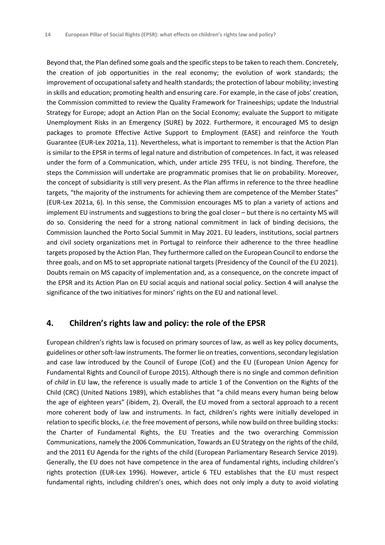Beyond that, the Plan defined some goals and the specific steps to be taken to reach them. Concretely, the creation of job opportunities in the real economy; the evolution of work standards; the improvement of occupational safety and health standards; the protection of labour mobility; investing in skills and education; promoting health and ensuring care. For example, in the case of jobs' creation, the Commission committed to review the Quality Framework for Traineeships; update the Industrial Strategy for Europe; adopt an Action Plan on the Social Economy; evaluate the Support to mitigate Unemployment Risks in an Emergency (SURE) by 2022. Furthermore, it encouraged MS to design packages to promote Effective Active Support to Employment (EASE) and reinforce the Youth Guarantee (EUR-Lex 2021a, 11). Nevertheless, what is important to remember is that the Action Plan is similar to the EPSR in terms of legal nature and distribution of competences. In fact, it was released under the form of a Communication, which, under article 295 TFEU, is not binding. Therefore, the steps the Commission will undertake are programmatic promises that lie on probability. Moreover, the concept of subsidiarity is still very present. As the Plan affirms in reference to the three headline targets, "the majority of the instruments for achieving them are competence of the Member States" (EUR-Lex 2021a, 6). In this sense, the Commission encourages MS to plan a variety of actions and implement EU instruments and suggestions to bring the goal closer – but there is no certainty MS will do so. Considering the need for a strong national commitment in lack of binding decisions, the Commission launched the Porto Social Summit in May 2021. EU leaders, institutions, social partners and civil society organizations met in Portugal to reinforce their adherence to the three headline targets proposed by the Action Plan. They furthermore called on the European Council to endorse the three goals, and on MS to set appropriate national targets (Presidency of the Council of the EU 2021). Doubts remain on MS capacity of implementation and, as a consequence, on the concrete impact of the EPSR and its Action Plan on EU social acquis and national social policy. Section 4 will analyse the significance of the two initiatives for minors' rights on the EU and national level.

#### **4. Children's rights law and policy: the role of the EPSR**

European children's rights law is focused on primary sources of law, as well as key policy documents, guidelines or other soft-law instruments. The former lie on treaties, conventions, secondary legislation and case law introduced by the Council of Europe (CoE) and the EU (European Union Agency for Fundamental Rights and Council of Europe 2015). Although there is no single and common definition of *child* in EU law, the reference is usually made to article 1 of the Convention on the Rights of the Child (CRC) (United Nations 1989), which establishes that "a child means every human being below the age of eighteen years" (ibidem, 2). Overall, the EU moved from a sectoral approach to a recent more coherent body of law and instruments. In fact, children's rights were initially developed in relation to specific blocks, *i.e.* the free movement of persons, while now build on three building stocks: the Charter of Fundamental Rights, the EU Treaties and the two overarching Commission Communications, namely the 2006 Communication, Towards an EU Strategy on the rights of the child, and the 2011 EU Agenda for the rights of the child (European Parliamentary Research Service 2019). Generally, the EU does not have competence in the area of fundamental rights, including children's rights protection (EUR-Lex 1996). However, article 6 TEU establishes that the EU must respect fundamental rights, including children's ones, which does not only imply a duty to avoid violating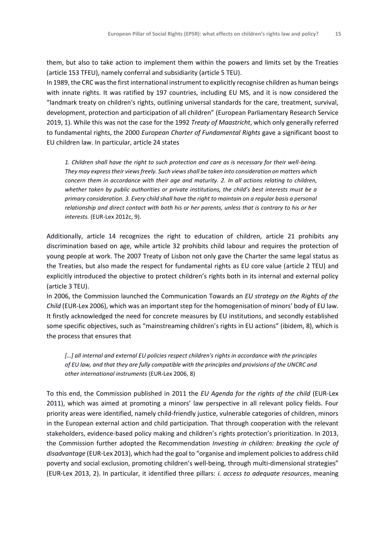them, but also to take action to implement them within the powers and limits set by the Treaties (article 153 TFEU), namely conferral and subsidiarity (article 5 TEU).

In 1989, the CRC was the first international instrument to explicitly recognise children as human beings with innate rights. It was ratified by 197 countries, including EU MS, and it is now considered the "landmark treaty on children's rights, outlining universal standards for the care, treatment, survival, development, protection and participation of all children" (European Parliamentary Research Service 2019, 1). While this was not the case for the 1992 *Treaty of Maastricht*, which only generally referred to fundamental rights, the 2000 *European Charter of Fundamental Rights* gave a significant boost to EU children law. In particular, article 24 states

*1. Children shall have the right to such protection and care as is necessary for their well-being. They may express their views freely. Such views shall be taken into consideration on matters which concern them in accordance with their age and maturity. 2. In all actions relating to children, whether taken by public authorities or private institutions, the child's best interests must be a primary consideration. 3. Every child shall have the right to maintain on a regular basis a personal relationship and direct contact with both his or her parents, unless that is contrary to his or her interests.* (EUR-Lex 2012c, 9).

Additionally, article 14 recognizes the right to education of children, article 21 prohibits any discrimination based on age, while article 32 prohibits child labour and requires the protection of young people at work. The 2007 Treaty of Lisbon not only gave the Charter the same legal status as the Treaties, but also made the respect for fundamental rights as EU core value (article 2 TEU) and explicitly introduced the objective to protect children's rights both in its internal and external policy (article 3 TEU).

In 2006, the Commission launched the Communication Towards an *EU strategy on the Rights of the Child* (EUR-Lex 2006), which was an important step for the homogenisation of minors' body of EU law. It firstly acknowledged the need for concrete measures by EU institutions, and secondly established some specific objectives, such as "mainstreaming children's rights in EU actions" (ibidem, 8), which is the process that ensures that

*[…] all internal and external EU policies respect children's rights in accordance with the principles of EU law, and that they are fully compatible with the principles and provisions of the UNCRC and other international instruments* (EUR-Lex 2006, 8)

To this end, the Commission published in 2011 the *EU Agenda for the rights of the child* (EUR-Lex 2011), which was aimed at promoting a minors' law perspective in all relevant policy fields. Four priority areas were identified, namely child-friendly justice, vulnerable categories of children, minors in the European external action and child participation. That through cooperation with the relevant stakeholders, evidence-based policy making and children's rights protection's prioritization. In 2013, the Commission further adopted the Recommendation *Investing in children: breaking the cycle of disadvantage* (EUR-Lex 2013), which had the goal to "organise and implement policies to address child poverty and social exclusion, promoting children's well-being, through multi-dimensional strategies" (EUR-Lex 2013, 2). In particular, it identified three pillars: *i. access to adequate resources*, meaning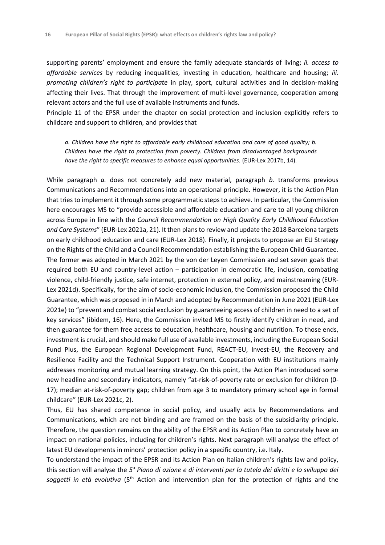supporting parents' employment and ensure the family adequate standards of living; *ii. access to affordable services* by reducing inequalities, investing in education, healthcare and housing; *iii. promoting children's right to participate* in play, sport, cultural activities and in decision-making affecting their lives. That through the improvement of multi-level governance, cooperation among relevant actors and the full use of available instruments and funds.

Principle 11 of the EPSR under the chapter on social protection and inclusion explicitly refers to childcare and support to children*,* and provides that

*a. Children have the right to affordable early childhood education and care of good quality; b. Children have the right to protection from poverty. Children from disadvantaged backgrounds have the right to specific measures to enhance equal opportunities.* (EUR-Lex 2017b, 14).

While paragraph *a.* does not concretely add new material, paragraph *b.* transforms previous Communications and Recommendations into an operational principle. However, it is the Action Plan that tries to implement it through some programmatic steps to achieve. In particular, the Commission here encourages MS to "provide accessible and affordable education and care to all young children across Europe in line with the *Council Recommendation on High Quality Early Childhood Education and Care Systems*" (EUR-Lex 2021a, 21). It then plans to review and update the 2018 Barcelona targets on early childhood education and care (EUR-Lex 2018). Finally, it projects to propose an EU Strategy on the Rights of the Child and a Council Recommendation establishing the European Child Guarantee*.*  The former was adopted in March 2021 by the von der Leyen Commission and set seven goals that required both EU and country-level action – participation in democratic life, inclusion, combating violence, child-friendly justice, safe internet, protection in external policy, and mainstreaming (EUR-Lex 2021d). Specifically, for the aim of socio-economic inclusion, the Commission proposed the Child Guarantee, which was proposed in in March and adopted by Recommendation in June 2021 (EUR-Lex 2021e) to "prevent and combat social exclusion by guaranteeing access of children in need to a set of key services" (ibidem, 16). Here, the Commission invited MS to firstly identify children in need, and then guarantee for them free access to education, healthcare, housing and nutrition. To those ends, investment is crucial, and should make full use of available investments, including the European Social Fund Plus, the European Regional Development Fund, REACT-EU, Invest-EU, the Recovery and Resilience Facility and the Technical Support Instrument. Cooperation with EU institutions mainly addresses monitoring and mutual learning strategy. On this point, the Action Plan introduced some new headline and secondary indicators, namely "at-risk-of-poverty rate or exclusion for children (0- 17); median at-risk-of-poverty gap; children from age 3 to mandatory primary school age in formal childcare" (EUR-Lex 2021c, 2).

Thus, EU has shared competence in social policy, and usually acts by Recommendations and Communications, which are not binding and are framed on the basis of the subsidiarity principle. Therefore, the question remains on the ability of the EPSR and its Action Plan to concretely have an impact on national policies, including for children's rights. Next paragraph will analyse the effect of latest EU developments in minors' protection policy in a specific country, i.e. Italy.

To understand the impact of the EPSR and its Action Plan on Italian children's rights law and policy, this section will analyse the *5° Piano di azione e di interventi per la tutela dei diritti e lo sviluppo dei soggetti in età evolutiva* (5th Action and intervention plan for the protection of rights and the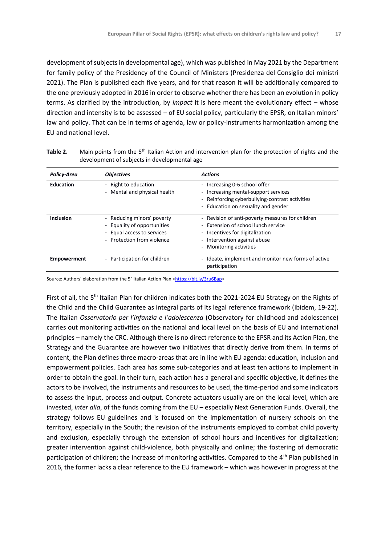development of subjects in developmental age), which was published in May 2021 by the Department for family policy of the Presidency of the Council of Ministers (Presidenza del Consiglio dei ministri 2021). The Plan is published each five years, and for that reason it will be additionally compared to the one previously adopted in 2016 in order to observe whether there has been an evolution in policy terms. As clarified by the introduction, by *impact* it is here meant the evolutionary effect – whose direction and intensity is to be assessed – of EU social policy, particularly the EPSR, on Italian minors' law and policy. That can be in terms of agenda, law or policy-instruments harmonization among the EU and national level.

| <b>Policy-Area</b> | <b>Objectives</b>                                                                                                                               | <b>Actions</b>                                                                                                                                                                        |
|--------------------|-------------------------------------------------------------------------------------------------------------------------------------------------|---------------------------------------------------------------------------------------------------------------------------------------------------------------------------------------|
| <b>Education</b>   | - Right to education<br>Mental and physical health                                                                                              | - Increasing 0-6 school offer<br>- Increasing mental-support services<br>- Reinforcing cyberbullying-contrast activities<br>- Education on sexuality and gender                       |
| <b>Inclusion</b>   | - Reducing minors' poverty<br>- Equality of opportunities<br>- Equal access to services<br>Protection from violence<br>$\overline{\phantom{0}}$ | - Revision of anti-poverty measures for children<br>- Extension of school lunch service<br>- Incentives for digitalization<br>- Intervention against abuse<br>- Monitoring activities |
| <b>Empowerment</b> | - Participation for children                                                                                                                    | - Ideate, implement and monitor new forms of active<br>participation                                                                                                                  |

**Table 2.** Main points from the 5<sup>th</sup> Italian Action and intervention plan for the protection of rights and the development of subjects in developmental age

Source: Authors' elaboration from the 5° Italian Action Plan [<https://bit.ly/3ru6Bap>](https://bit.ly/3ru6Bap)

First of all, the 5<sup>th</sup> Italian Plan for children indicates both the 2021-2024 EU Strategy on the Rights of the Child and the Child Guarantee as integral parts of its legal reference framework (ibidem, 19-22). The Italian *Osservatorio per l'infanzia e l'adolescenza* (Observatory for childhood and adolescence) carries out monitoring activities on the national and local level on the basis of EU and international principles – namely the CRC. Although there is no direct reference to the EPSR and its Action Plan, the Strategy and the Guarantee are however two initiatives that directly derive from them. In terms of content, the Plan defines three macro-areas that are in line with EU agenda: education, inclusion and empowerment policies. Each area has some sub-categories and at least ten actions to implement in order to obtain the goal. In their turn, each action has a general and specific objective, it defines the actors to be involved, the instruments and resources to be used, the time-period and some indicators to assess the input, process and output*.* Concrete actuators usually are on the local level, which are invested, *inter alia*, of the funds coming from the EU – especially Next Generation Funds. Overall, the strategy follows EU guidelines and is focused on the implementation of nursery schools on the territory, especially in the South; the revision of the instruments employed to combat child poverty and exclusion, especially through the extension of school hours and incentives for digitalization; greater intervention against child-violence, both physically and online; the fostering of democratic participation of children; the increase of monitoring activities. Compared to the 4<sup>th</sup> Plan published in 2016, the former lacks a clear reference to the EU framework – which was however in progress at the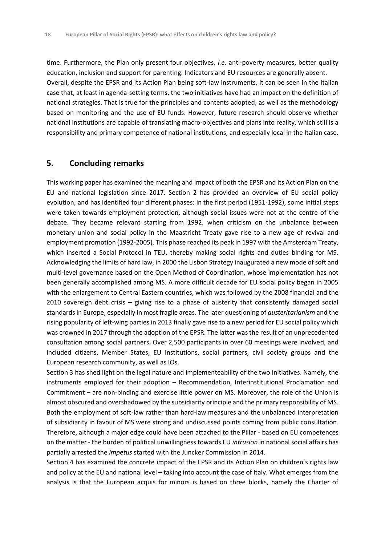time. Furthermore, the Plan only present four objectives, *i.e.* anti-poverty measures, better quality education, inclusion and support for parenting. Indicators and EU resources are generally absent. Overall, despite the EPSR and its Action Plan being soft-law instruments, it can be seen in the Italian case that, at least in agenda-setting terms, the two initiatives have had an impact on the definition of national strategies. That is true for the principles and contents adopted, as well as the methodology based on monitoring and the use of EU funds. However, future research should observe whether national institutions are capable of translating macro-objectives and plans into reality, which still is a responsibility and primary competence of national institutions, and especially local in the Italian case.

#### **5. Concluding remarks**

This working paper has examined the meaning and impact of both the EPSR and its Action Plan on the EU and national legislation since 2017. Section 2 has provided an overview of EU social policy evolution, and has identified four different phases: in the first period (1951-1992), some initial steps were taken towards employment protection, although social issues were not at the centre of the debate. They became relevant starting from 1992, when criticism on the unbalance between monetary union and social policy in the Maastricht Treaty gave rise to a new age of revival and employment promotion (1992-2005). This phase reached its peak in 1997 with the Amsterdam Treaty, which inserted a Social Protocol in TEU, thereby making social rights and duties binding for MS. Acknowledging the limits of hard law, in 2000 the Lisbon Strategy inaugurated a new mode of soft and multi-level governance based on the Open Method of Coordination, whose implementation has not been generally accomplished among MS. A more difficult decade for EU social policy began in 2005 with the enlargement to Central Eastern countries, which was followed by the 2008 financial and the 2010 sovereign debt crisis – giving rise to a phase of austerity that consistently damaged social standards in Europe, especially in most fragile areas. The later questioning of *austeritarianism* and the rising popularity of left-wing parties in 2013 finally gave rise to a new period for EU social policy which was crowned in 2017 through the adoption of the EPSR. The latter was the result of an unprecedented consultation among social partners. Over 2,500 participants in over 60 meetings were involved, and included citizens, Member States, EU institutions, social partners, civil society groups and the European research community, as well as IOs.

Section 3 has shed light on the legal nature and implementeability of the two initiatives. Namely, the instruments employed for their adoption – Recommendation, Interinstitutional Proclamation and Commitment – are non-binding and exercise little power on MS. Moreover, the role of the Union is almost obscured and overshadowed by the subsidiarity principle and the primary responsibility of MS. Both the employment of soft-law rather than hard-law measures and the unbalanced interpretation of subsidiarity in favour of MS were strong and undiscussed points coming from public consultation. Therefore, although a major edge could have been attached to the Pillar - based on EU competences on the matter - the burden of political unwillingness towards EU *intrusion* in national social affairs has partially arrested the *impetus* started with the Juncker Commission in 2014.

Section 4 has examined the concrete impact of the EPSR and its Action Plan on children's rights law and policy at the EU and national level – taking into account the case of Italy. What emerges from the analysis is that the European acquis for minors is based on three blocks, namely the Charter of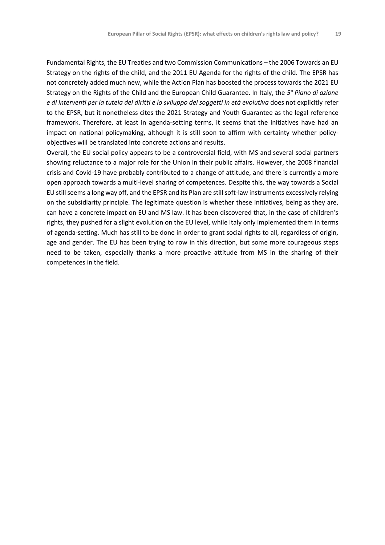Fundamental Rights, the EU Treaties and two Commission Communications – the 2006 Towards an EU Strategy on the rights of the child, and the 2011 EU Agenda for the rights of the child. The EPSR has not concretely added much new, while the Action Plan has boosted the process towards the 2021 EU Strategy on the Rights of the Child and the European Child Guarantee. In Italy, the *5° Piano di azione e di interventi per la tutela dei diritti e lo sviluppo dei soggetti in età evolutiva* does not explicitly refer to the EPSR, but it nonetheless cites the 2021 Strategy and Youth Guarantee as the legal reference framework. Therefore, at least in agenda-setting terms, it seems that the initiatives have had an impact on national policymaking, although it is still soon to affirm with certainty whether policyobjectives will be translated into concrete actions and results.

Overall, the EU social policy appears to be a controversial field, with MS and several social partners showing reluctance to a major role for the Union in their public affairs. However, the 2008 financial crisis and Covid-19 have probably contributed to a change of attitude, and there is currently a more open approach towards a multi-level sharing of competences. Despite this, the way towards a Social EU still seems a long way off, and the EPSR and its Plan are still soft-law instruments excessively relying on the subsidiarity principle. The legitimate question is whether these initiatives, being as they are, can have a concrete impact on EU and MS law. It has been discovered that, in the case of children's rights, they pushed for a slight evolution on the EU level, while Italy only implemented them in terms of agenda-setting. Much has still to be done in order to grant social rights to all, regardless of origin, age and gender. The EU has been trying to row in this direction, but some more courageous steps need to be taken, especially thanks a more proactive attitude from MS in the sharing of their competences in the field.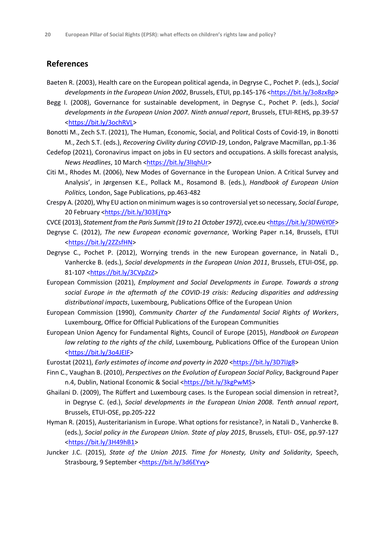#### **References**

- Baeten R. (2003), Health care on the European political agenda, in Degryse C., Pochet P. (eds.), *Social developments in the European Union 2002*, Brussels, ETUI, pp.145-176 [<https://bit.ly/3o8zxBp>](https://bit.ly/3o8zxBp)
- Begg I. (2008), Governance for sustainable development, in Degryse C., Pochet P. (eds.), *Social developments in the European Union 2007. Ninth annual report*, Brussels, ETUI-REHS, pp.39-57 [<https://bit.ly/3ochRVL>](https://bit.ly/3ochRVL)
- Bonotti M., Zech S.T. (2021), The Human, Economic, Social, and Political Costs of Covid-19, in Bonotti M., Zech S.T. (eds.), *Recovering Civility during COVID-19*, London, Palgrave Macmillan, pp.1-36
- Cedefop (2021), Coronavirus impact on jobs in EU sectors and occupations. A skills forecast analysis, *News Headlines*, 10 March [<https://bit.ly/3lIqhUr>](https://bit.ly/3lIqhUr)
- Citi M., Rhodes M. (2006), New Modes of Governance in the European Union. A Critical Survey and Analysis', in Jørgensen K.E., Pollack M., Rosamond B. (eds.), *Handbook of European Union Politics,* London, Sage Publications, pp.463-482
- Crespy A. (2020), Why EU action on minimum wages is so controversial yet so necessary*, Social Europe*, 20 February [<https://bit.ly/303EjYq>](https://bit.ly/303EjYq)
- CVCE (2013), Statement from the Paris Summit (19 to 21 October 1972), cvce.eu [<https://bit.ly/3DW6Y0F>](https://bit.ly/3DW6Y0F)
- Degryse C. (2012), *The new European economic governance*, Working Paper n.14, Brussels, ETUI [<https://bit.ly/2ZZsfHN>](https://bit.ly/2ZZsfHN)
- Degryse C., Pochet P. (2012), Worrying trends in the new European governance, in Natali D., Vanhercke B. (eds.), *Social developments in the European Union 2011*, Brussels, ETUI-OSE, pp. 81-107 [<https://bit.ly/3CVpZzZ>](https://bit.ly/3CVpZzZ)
- European Commission (2021), *Employment and Social Developments in Europe. Towards a strong social Europe in the aftermath of the COVID-19 crisis: Reducing disparities and addressing distributional impacts*, Luxembourg, Publications Office of the European Union
- European Commission (1990), *Community Charter of the Fundamental Social Rights of Workers*, Luxembourg, Office for Official Publications of the European Communities
- European Union Agency for Fundamental Rights, Council of Europe (2015), *Handbook on European law relating to the rights of the child*, Luxembourg, Publications Office of the European Union [<https://bit.ly/3o4JEIF>](https://bit.ly/3o4JEIF)
- Eurostat (2021), *Early estimates of income and poverty in 2020* [<https://bit.ly/3D7lJg8>](https://bit.ly/3D7lJg8)
- Finn C., Vaughan B. (2010), *Perspectives on the Evolution of European Social Policy*, Background Paper n.4, Dublin, National Economic & Social [<https://bit.ly/3kgPwMS>](https://bit.ly/3kgPwMS)
- Ghailani D. (2009), The Rüffert and Luxembourg cases. Is the European social dimension in retreat?, in Degryse C. (ed.), *Social developments in the European Union 2008. Tenth annual report*, Brussels, ETUI-OSE, pp.205-222
- Hyman R. (2015), Austeritarianism in Europe. What options for resistance?, in Natali D., Vanhercke B. (eds.), *Social policy in the European Union. State of play 2015*, Brussels, ETUI- OSE, pp.97-127 [<https://bit.ly/3H49hB1>](https://bit.ly/3H49hB1)
- Juncker J.C. (2015), *State of the Union 2015. Time for Honesty, Unity and Solidarity*, Speech, Strasbourg, 9 September [<https://bit.ly/3d6EYvy>](https://bit.ly/3d6EYvy)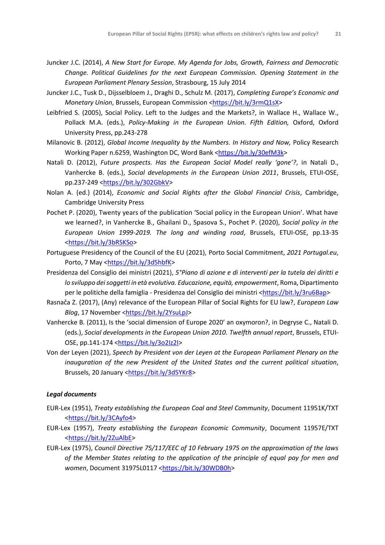- Juncker J.C. (2014), *A New Start for Europe. My Agenda for Jobs, Growth, Fairness and Democratic Change. Political Guidelines for the next European Commission. Opening Statement in the European Parliament Plenary Session*, Strasbourg, 15 July 2014
- Juncker J.C., Tusk D., Dijsselbloem J., Draghi D., Schulz M. (2017), *Completing Europe's Economic and Monetary Union, Brussels, European Commission [<https://bit.ly/3rmQ1sX>](https://bit.ly/3rmQ1sX)*
- Leibfried S. (2005), Social Policy. Left to the Judges and the Markets?, in Wallace H., Wallace W., Pollack M.A. (eds.), *Policy-Making in the European Union. Fifth Edition,* Oxford, Oxford University Press, pp.243-278
- Milanovic B. (2012), *Global Income Inequality by the Numbers. In History and Now,* Policy Research Working Paper n.6259, Washington DC, Word Bank [<https://bit.ly/30efM3k>](https://bit.ly/30efM3k)
- Natali D. (2012), *Future prospects. Has the European Social Model really 'gone'?*, in Natali D., Vanhercke B. (eds.), *Social developments in the European Union 2011*, Brussels, ETUI-OSE, pp.237-249 [<https://bit.ly/302GbkV>](https://bit.ly/302GbkV)
- Nolan A. (ed.) (2014), *Economic and Social Rights after the Global Financial Crisis*, Cambridge, Cambridge University Press
- Pochet P. (2020), Twenty years of the publication 'Social policy in the European Union'. What have we learned?, in Vanhercke B., Ghailani D., Spasova S., Pochet P. (2020), *Social policy in the European Union 1999-2019. The long and winding road*, Brussels, ETUI-OSE, pp.13-35 [<https://bit.ly/3bRSKSo>](https://bit.ly/3bRSKSo)
- Portuguese Presidency of the Council of the EU (2021), Porto Social Commitment, *2021 Portugal.eu*, Porto, 7 May [<https://bit.ly/3d5hbfK>](https://bit.ly/3d5hbfK)
- Presidenza del Consiglio dei ministri (2021), *5°Piano di azione e di interventi per la tutela dei diritti e lo sviluppo dei soggetti in età evolutiva. Educazione, equità, empowerment*, Roma, Dipartimento per le politiche della famiglia - Presidenza del Consiglio dei ministri [<https://bit.ly/3ru6Bap>](https://bit.ly/3ru6Bap)
- Rasnača Z. (2017), (Any) relevance of the European Pillar of Social Rights for EU law?, *European Law Blog*, 17 November [<https://bit.ly/2YsuLpJ>](https://bit.ly/2YsuLpJ)
- Vanhercke B. (2011), Is the 'social dimension of Europe 2020' an oxymoron?, in Degryse C., Natali D. (eds.), *Social developments in the European Union 2010. Twelfth annual report*, Brussels, ETUI-OSE, pp.141-174 [<https://bit.ly/3o2Iz2I>](https://bit.ly/3o2Iz2I)
- Von der Leyen (2021), *Speech by President von der Leyen at the European Parliament Plenary on the inauguration of the new President of the United States and the current political situation*, Brussels, 20 January [<https://bit.ly/3d5YKr8>](https://bit.ly/3d5YKr8)

#### *Legal documents*

- EUR-Lex (1951), *Treaty establishing the European Coal and Steel Community*, Document 11951K/TXT [<https://bit.ly/3CAyfo4>](https://bit.ly/3CAyfo4)
- EUR-Lex (1957), *Treaty establishing the European Economic Community*, Document 11957E/TXT [<https://bit.ly/2ZuAlbE>](https://bit.ly/2ZuAlbE)
- EUR-Lex (1975), *Council Directive 75/117/EEC of 10 February 1975 on the approximation of the laws of the Member States relating to the application of the principle of equal pay for men and*  women, Document 31975L0117 [<https://bit.ly/30WDB0h>](https://bit.ly/30WDB0h)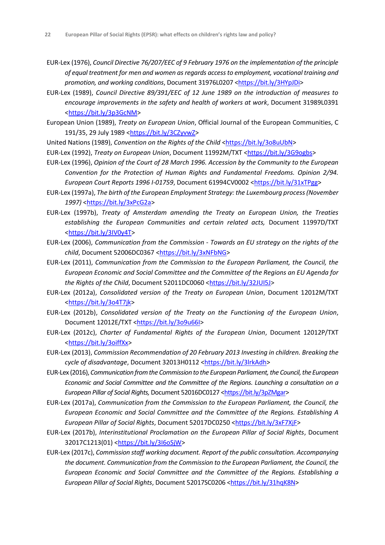- EUR-Lex (1976), *Council Directive 76/207/EEC of 9 February 1976 on the implementation of the principle of equal treatment for men and women as regards access to employment, vocational training and promotion, and working conditions*, Document 31976L0207 [<https://bit.ly/3HYpJDi>](https://bit.ly/3HYpJDi)
- EUR-Lex (1989), *Council Directive 89/391/EEC of 12 June 1989 on the introduction of measures to encourage improvements in the safety and health of workers at work*, Document 31989L0391 [<https://bit.ly/3p3GcNM>](https://bit.ly/3p3GcNM)
- European Union (1989), *Treaty on European Union*, Official Journal of the European Communities, C 191/35, 29 July 1989 [<https://bit.ly/3CZyvwZ>](https://bit.ly/3CZyvwZ)
- United Nations (1989), *Convention on the Rights of the Child* [<https://bit.ly/3o8uUbN>](https://bit.ly/3o8uUbN)
- EUR-Lex (1992), *Treaty on European Union*, Document 11992M/TXT [<https://bit.ly/3G9ogbs>](https://bit.ly/3G9ogbs)
- EUR-Lex (1996), *Opinion of the Court of 28 March 1996. Accession by the Community to the European Convention for the Protection of Human Rights and Fundamental Freedoms. Opinion 2/94. European Court Reports 1996 I-01759*, Document 61994CV0002 [<https://bit.ly/31xTPgg>](https://bit.ly/31xTPgg)
- EUR-Lex (1997a), *The birth of the European Employment Strategy: the Luxembourg process (November 1997)* [<https://bit.ly/3xPcG2a>](https://bit.ly/3xPcG2a)
- EUR-Lex (1997b), *Treaty of Amsterdam amending the Treaty on European Union, the Treaties establishing the European Communities and certain related acts,* Document 11997D/TXT [<https://bit.ly/3IV0y4T>](https://bit.ly/3IV0y4T)
- EUR-Lex (2006), *Communication from the Commission - Towards an EU strategy on the rights of the*  child, Document 52006DC0367 [<https://bit.ly/3xNFbNG>](https://bit.ly/3xNFbNG)
- EUR-Lex (2011), *Communication from the Commission to the European Parliament, the Council, the European Economic and Social Committee and the Committee of the Regions an EU Agenda for the Rights of the Child*, Document 52011DC0060 [<https://bit.ly/32JUI5J>](https://bit.ly/32JUI5J)
- EUR-Lex (2012a), *Consolidated version of the Treaty on European Union*, Document 12012M/TXT [<https://bit.ly/3o4T7jk>](https://bit.ly/3o4T7jk)
- EUR-Lex (2012b), *Consolidated version of the Treaty on the Functioning of the European Union*, Document 12012E/TXT [<https://bit.ly/3o9u66I>](https://bit.ly/3o9u66I)
- EUR-Lex (2012c), *Charter of Fundamental Rights of the European Union*, Document 12012P/TXT [<https://bit.ly/3oiffXx>](https://bit.ly/3oiffXx)
- EUR-Lex (2013), *Commission Recommendation of 20 February 2013 Investing in children. Breaking the cycle of disadvantage*, Document 32013H0112 [<https://bit.ly/3lrkAdh>](https://bit.ly/3lrkAdh)
- EUR-Lex (2016), *Communication from the Commission to the European Parliament, the Council, the European Economic and Social Committee and the Committee of the Regions. Launching a consultation on a*  European Pillar of Social Rights, Document 52016DC0127 [<https://bit.ly/3pZMgar>](https://bit.ly/3pZMgar)
- EUR-Lex (2017a), *Communication from the Commission to the European Parliament, the Council, the European Economic and Social Committee and the Committee of the Regions. Establishing A European Pillar of Social Rights*, Document 52017DC0250 [<https://bit.ly/3xF7XjF>](https://bit.ly/3xF7XjF)
- EUR-Lex (2017b), *Interinstitutional Proclamation on the European Pillar of Social Rights*, Document 32017C1213(01) [<https://bit.ly/3I6oSjW>](https://bit.ly/3I6oSjW)
- EUR-Lex (2017c), *Commission staff working document. Report of the public consultation. Accompanying the document. Communication from the Commission to the European Parliament, the Council, the European Economic and Social Committee and the Committee of the Regions. Establishing a European Pillar of Social Rights*, Document 52017SC0206 [<https://bit.ly/31hqK8N>](https://bit.ly/31hqK8N)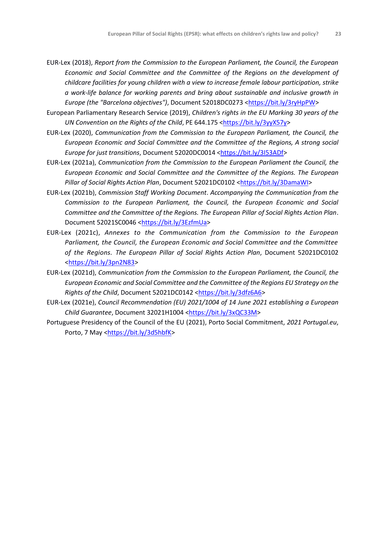- EUR-Lex (2018), *Report from the Commission to the European Parliament, the Council, the European Economic and Social Committee and the Committee of the Regions on the development of childcare facilities for young children with a view to increase female labour participation, strike a work-life balance for working parents and bring about sustainable and inclusive growth in Europe (the "Barcelona objectives")*, Document 52018DC0273 [<https://bit.ly/3ryHpPW>](https://bit.ly/3ryHpPW)
- European Parliamentary Research Service (2019), *Children's rights in the EU Marking 30 years of the UN Convention on the Rights of the Child, PE 644.175 [<https://bit.ly/3yyX57y>](https://bit.ly/3yyX57y)*
- EUR-Lex (2020), *Communication from the Commission to the European Parliament, the Council, the European Economic and Social Committee and the Committee of the Regions, A strong social Europe for just transitions*, Document 52020DC0014 [<https://bit.ly/3I53ADf>](https://bit.ly/3I53ADf)
- EUR-Lex (2021a), *Communication from the Commission to the European Parliament the Council, the European Economic and Social Committee and the Committee of the Regions. The European Pillar of Social Rights Action Plan*, Document 52021DC0102 [<https://bit.ly/3DamaWI>](https://bit.ly/3DamaWI)
- EUR-Lex (2021b), *Commission Staff Working Document*. *Accompanying the Communication from the Commission to the European Parliament, the Council, the European Economic and Social Committee and the Committee of the Regions. The European Pillar of Social Rights Action Plan*. Document 52021SC0046 [<https://bit.ly/3EzfmUa>](https://bit.ly/3EzfmUa)
- EUR-Lex (2021c), *Annexes to the Communication from the Commission to the European Parliament, the Council, the European Economic and Social Committee and the Committee of the Regions. The European Pillar of Social Rights Action Plan*, Document 52021DC0102 [<https://bit.ly/3pn2N83>](https://bit.ly/3pn2N83)
- EUR-Lex (2021d), *Communication from the Commission to the European Parliament, the Council, the European Economic and Social Committee and the Committee of the Regions EU Strategy on the Rights of the Child, Document 52021DC0142 [<https://bit.ly/3dfz6A6>](https://bit.ly/3dfz6A6)*
- EUR-Lex (2021e), *Council Recommendation (EU) 2021/1004 of 14 June 2021 establishing a European Child Guarantee, Document 32021H1004* [<https://bit.ly/3xQC33M>](https://bit.ly/3xQC33M)
- Portuguese Presidency of the Council of the EU (2021), Porto Social Commitment, *2021 Portugal.eu*, Porto, 7 May [<https://bit.ly/3d5hbfK>](https://bit.ly/3d5hbfK)